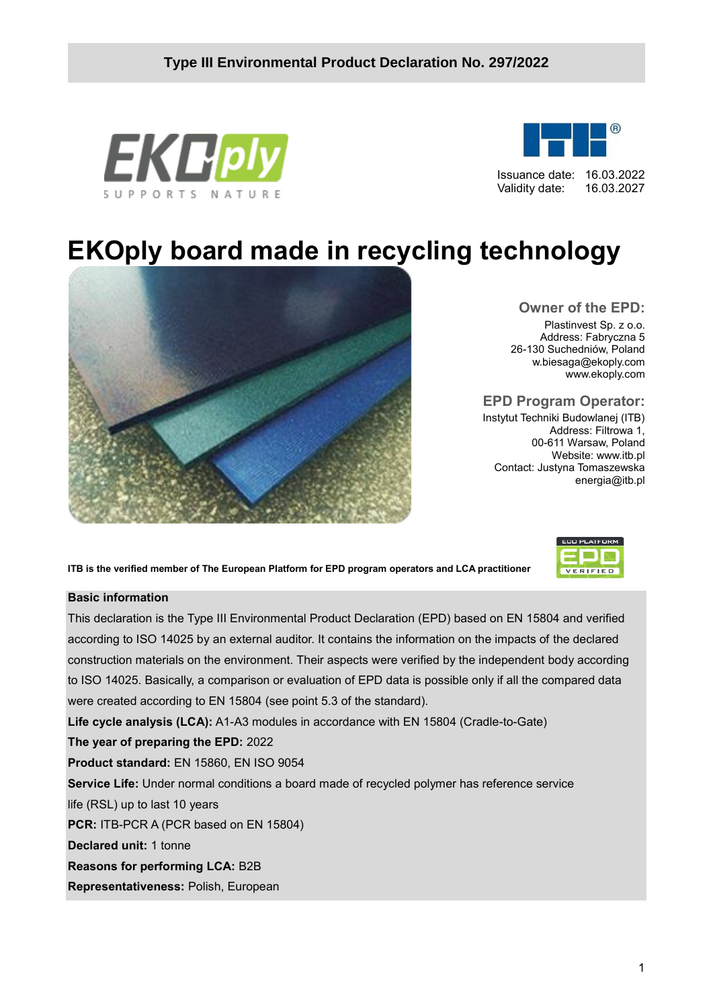



Issuance date: 16.03.2022 Validity date: 16.03.2027

# **EKOply board made in recycling technology**



#### **Owner of the EPD:**

Plastinvest Sp. z o.o. Address: Fabryczna 5 26-130 Suchedniów, Poland w.biesaga@ekoply.com [www.ekoply.com](http://www.kingklinker.pl/)

#### **EPD Program Operator:**

Instytut Techniki Budowlanej (ITB) Address: Filtrowa 1, 00-611 Warsaw, Poland Website: www.itb.pl Contact: Justyna Tomaszewska energia@itb.pl

**ITB is the verified member of The European Platform for EPD program operators and LCA practitioner**

#### **Basic information**

This declaration is the Type III Environmental Product Declaration (EPD) based on EN 15804 and verified according to ISO 14025 by an external auditor. It contains the information on the impacts of the declared construction materials on the environment. Their aspects were verified by the independent body according to ISO 14025. Basically, a comparison or evaluation of EPD data is possible only if all the compared data were created according to EN 15804 (see point 5.3 of the standard).

**Life cycle analysis (LCA):** A1-A3 modules in accordance with EN 15804 (Cradle-to-Gate)

**The year of preparing the EPD:** 2022

**Product standard:** EN 15860, EN ISO 9054

**Service Life:** Under normal conditions a board made of recycled polymer has reference service life (RSL) up to last 10 years

**PCR:** ITB-PCR A (PCR based on EN 15804)

**Declared unit:** 1 tonne

**Reasons for performing LCA:** B2B

**Representativeness:** Polish, European

| <b>ECO PLATFORM</b> |  |
|---------------------|--|
|                     |  |
| VERIFIED            |  |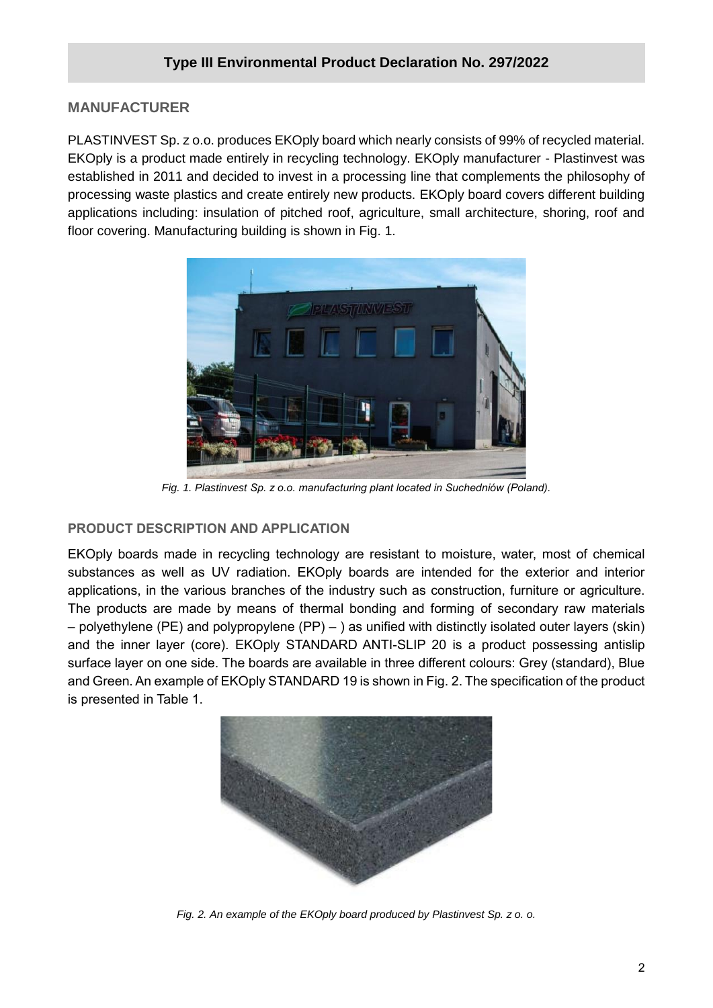## **MANUFACTURER**

PLASTINVEST Sp. z o.o. produces EKOply board which nearly consists of 99% of recycled material. EKOply is a product made entirely in recycling technology. EKOply manufacturer - Plastinvest was established in 2011 and decided to invest in a processing line that complements the philosophy of processing waste plastics and create entirely new products. EKOply board covers different building applications including: insulation of pitched roof, agriculture, small architecture, shoring, roof and floor covering. Manufacturing building is shown in Fig. 1.



*Fig. 1. Plastinvest Sp. z o.o. manufacturing plant located in Suchedniów (Poland).*

#### **PRODUCT DESCRIPTION AND APPLICATION**

EKOply boards made in recycling technology are resistant to moisture, water, most of chemical substances as well as UV radiation. EKOply boards are intended for the exterior and interior applications, in the various branches of the industry such as construction, furniture or agriculture. The products are made by means of thermal bonding and forming of secondary raw materials – polyethylene (PE) and polypropylene (PP) – ) as unified with distinctly isolated outer layers (skin) and the inner layer (core). EKOply STANDARD ANTI-SLIP 20 is a product possessing antislip surface layer on one side. The boards are available in three different colours: Grey (standard), Blue and Green. An example of EKOply STANDARD 19 is shown in Fig. 2. The specification of the product is presented in Table 1.



*Fig. 2. An example of the EKOply board produced by Plastinvest Sp. z o. o.*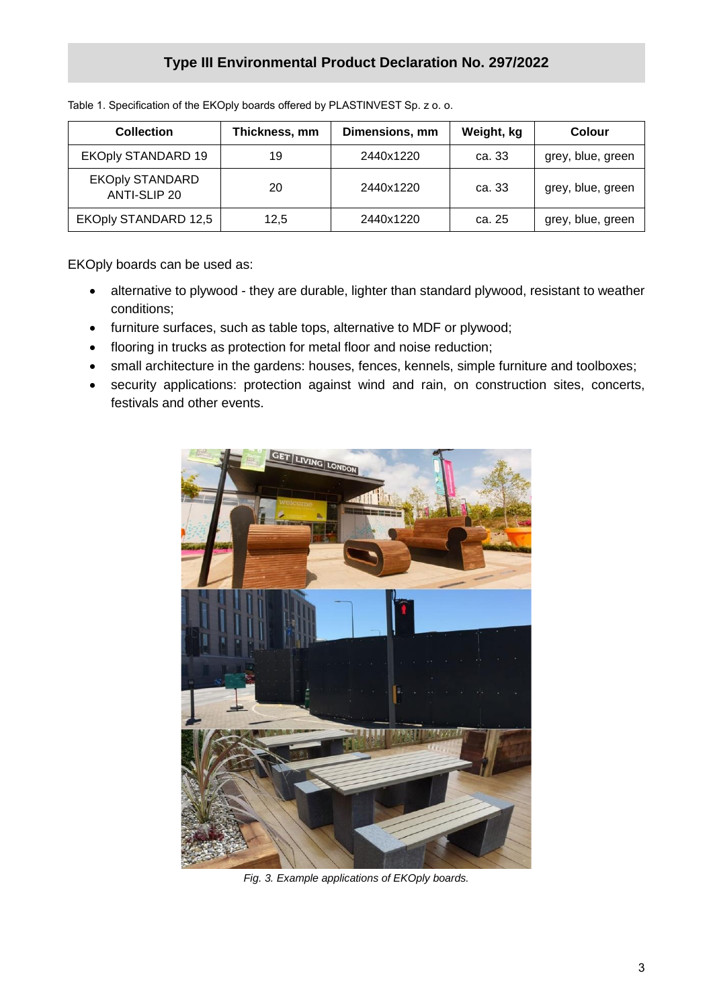# **Type III Environmental Product Declaration No. 297/2022**

| <b>Collection</b>                      | Thickness, mm | Dimensions, mm | Weight, kg | Colour            |
|----------------------------------------|---------------|----------------|------------|-------------------|
| <b>EKOply STANDARD 19</b>              | 19            | 2440x1220      | ca. 33     | grey, blue, green |
| <b>EKOply STANDARD</b><br>ANTI-SLIP 20 | 20            | 2440x1220      | ca. 33     | grey, blue, green |
| <b>EKOply STANDARD 12,5</b>            | 12.5          | 2440x1220      | ca. 25     | grey, blue, green |

Table 1. Specification of the EKOply boards offered by PLASTINVEST Sp. z o. o.

EKOply boards can be used as:

- alternative to plywood they are durable, lighter than standard plywood, resistant to weather conditions;
- furniture surfaces, such as table tops, alternative to MDF or plywood;
- flooring in trucks as protection for metal floor and noise reduction;
- small architecture in the gardens: houses, fences, kennels, simple furniture and toolboxes;
- security applications: protection against wind and rain, on construction sites, concerts, festivals and other events.



*Fig. 3. Example applications of EKOply boards.*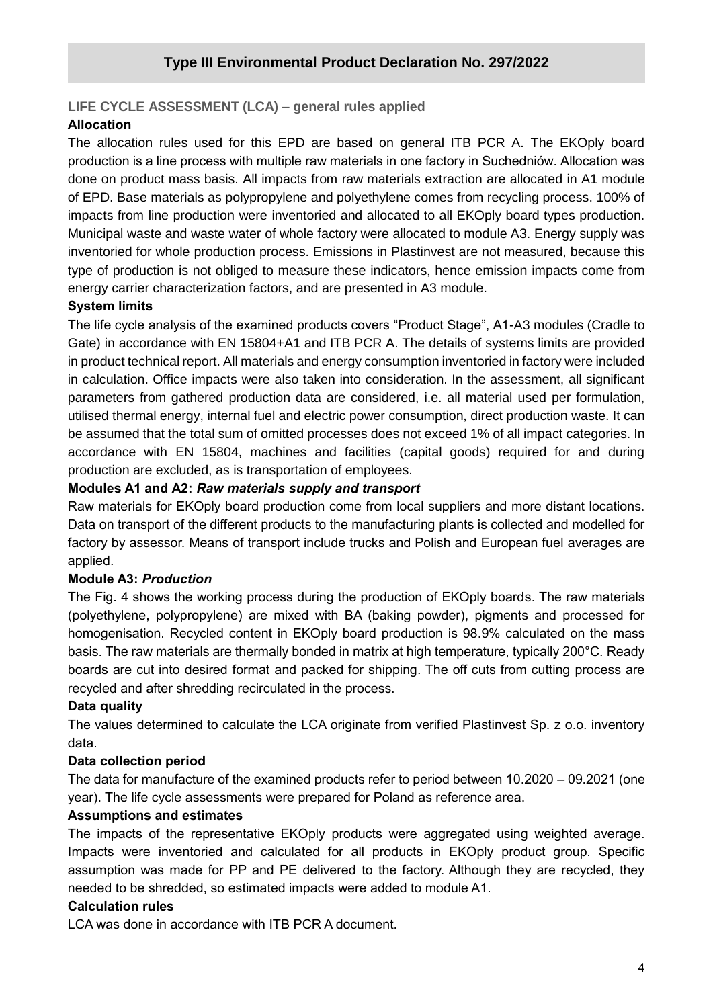#### **LIFE CYCLE ASSESSMENT (LCA) – general rules applied**

#### **Allocation**

The allocation rules used for this EPD are based on general ITB PCR A. The EKOply board production is a line process with multiple raw materials in one factory in Suchedniów. Allocation was done on product mass basis. All impacts from raw materials extraction are allocated in A1 module of EPD. Base materials as polypropylene and polyethylene comes from recycling process. 100% of impacts from line production were inventoried and allocated to all EKOply board types production. Municipal waste and waste water of whole factory were allocated to module A3. Energy supply was inventoried for whole production process. Emissions in Plastinvest are not measured, because this type of production is not obliged to measure these indicators, hence emission impacts come from energy carrier characterization factors, and are presented in A3 module.

#### **System limits**

The life cycle analysis of the examined products covers "Product Stage", A1-A3 modules (Cradle to Gate) in accordance with EN 15804+A1 and ITB PCR A. The details of systems limits are provided in product technical report. All materials and energy consumption inventoried in factory were included in calculation. Office impacts were also taken into consideration. In the assessment, all significant parameters from gathered production data are considered, i.e. all material used per formulation, utilised thermal energy, internal fuel and electric power consumption, direct production waste. It can be assumed that the total sum of omitted processes does not exceed 1% of all impact categories. In accordance with EN 15804, machines and facilities (capital goods) required for and during production are excluded, as is transportation of employees.

#### **Modules A1 and A2:** *Raw materials supply and transport*

Raw materials for EKOply board production come from local suppliers and more distant locations. Data on transport of the different products to the manufacturing plants is collected and modelled for factory by assessor. Means of transport include trucks and Polish and European fuel averages are applied.

#### **Module A3:** *Production*

The Fig. 4 shows the working process during the production of EKOply boards. The raw materials (polyethylene, polypropylene) are mixed with BA (baking powder), pigments and processed for homogenisation. Recycled content in EKOply board production is 98.9% calculated on the mass basis. The raw materials are thermally bonded in matrix at high temperature, typically 200°C. Ready boards are cut into desired format and packed for shipping. The off cuts from cutting process are recycled and after shredding recirculated in the process.

#### **Data quality**

The values determined to calculate the LCA originate from verified Plastinvest Sp. z o.o. inventory data.

#### **Data collection period**

The data for manufacture of the examined products refer to period between 10.2020 – 09.2021 (one year). The life cycle assessments were prepared for Poland as reference area.

#### **Assumptions and estimates**

The impacts of the representative EKOply products were aggregated using weighted average. Impacts were inventoried and calculated for all products in EKOply product group. Specific assumption was made for PP and PE delivered to the factory. Although they are recycled, they needed to be shredded, so estimated impacts were added to module A1.

#### **Calculation rules**

LCA was done in accordance with ITB PCR A document.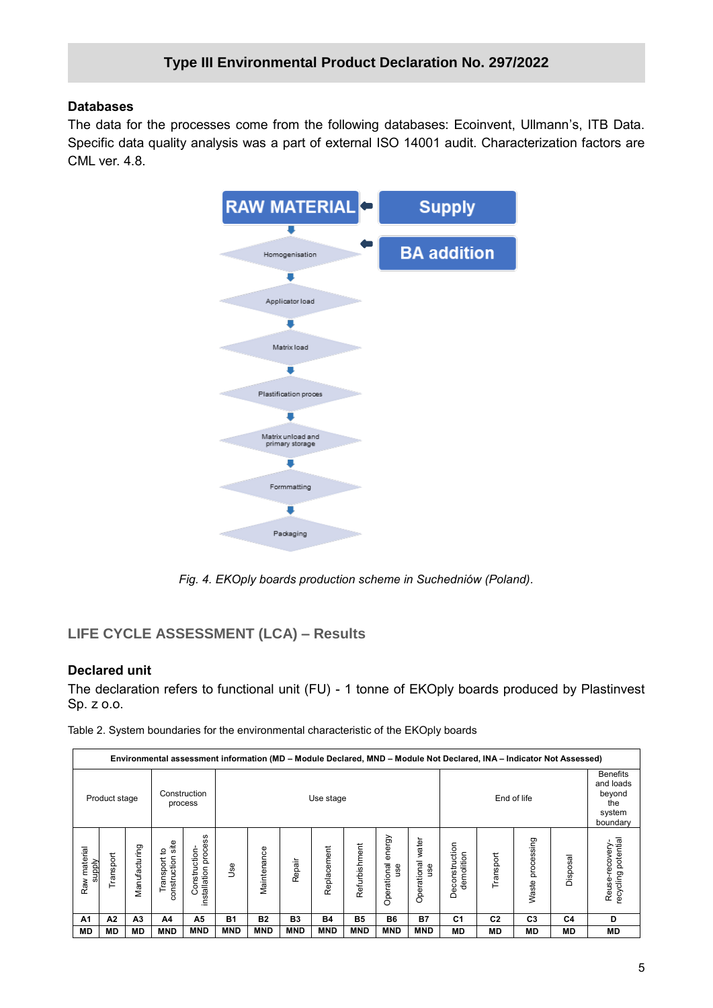#### **Databases**

The data for the processes come from the following databases: Ecoinvent, Ullmann's, ITB Data. Specific data quality analysis was a part of external ISO 14001 audit. Characterization factors are CML ver. 4.8.



*Fig. 4. EKOply boards production scheme in Suchedniów (Poland).*

### **LIFE CYCLE ASSESSMENT (LCA) – Results**

#### **Declared unit**

The declaration refers to functional unit (FU) - 1 tonne of EKOply boards produced by Plastinvest Sp. z o.o.

Table 2. System boundaries for the environmental characteristic of the EKOply boards

| Environmental assessment information (MD - Module Declared, MND - Module Not Declared, INA - Indicator Not Assessed) |               |               |                                        |                                                |            |                          |            |             |               |                              |                                                                     |                              |                |                  |           |                                      |
|----------------------------------------------------------------------------------------------------------------------|---------------|---------------|----------------------------------------|------------------------------------------------|------------|--------------------------|------------|-------------|---------------|------------------------------|---------------------------------------------------------------------|------------------------------|----------------|------------------|-----------|--------------------------------------|
|                                                                                                                      | Product stage |               |                                        | Construction<br>process                        |            | End of life<br>Use stage |            |             |               |                              | <b>Benefits</b><br>and loads<br>beyond<br>the<br>system<br>boundary |                              |                |                  |           |                                      |
| material<br><b>Alddns</b><br>Raw                                                                                     | Transport     | Manufacturing | site<br>ೆ<br>construction<br>Transport | ပ္ၿ<br>proces<br>Construction-<br>installation | Jse        | Maintenance              | Repair     | Replacement | Refurbishment | energy<br>Operational<br>use | water<br>Operational<br>use                                         | Deconstruction<br>demolition | Transport      | Waste processing | Disposal  | ecycling potential<br>Reuse-recovery |
| A1                                                                                                                   | A2            | А3            | A4                                     | А5                                             | <b>B1</b>  | <b>B2</b>                | B3         | <b>B4</b>   | <b>B5</b>     | <b>B6</b>                    | <b>B7</b>                                                           | C <sub>1</sub>               | C <sub>2</sub> | C <sub>3</sub>   | C4        | D                                    |
| <b>MD</b>                                                                                                            | <b>MD</b>     | MD            | <b>MND</b>                             | <b>MND</b>                                     | <b>MND</b> | <b>MND</b>               | <b>MND</b> | <b>MND</b>  | <b>MND</b>    | <b>MND</b>                   | <b>MND</b>                                                          | <b>MD</b>                    | <b>MD</b>      | МD               | <b>MD</b> | <b>MD</b>                            |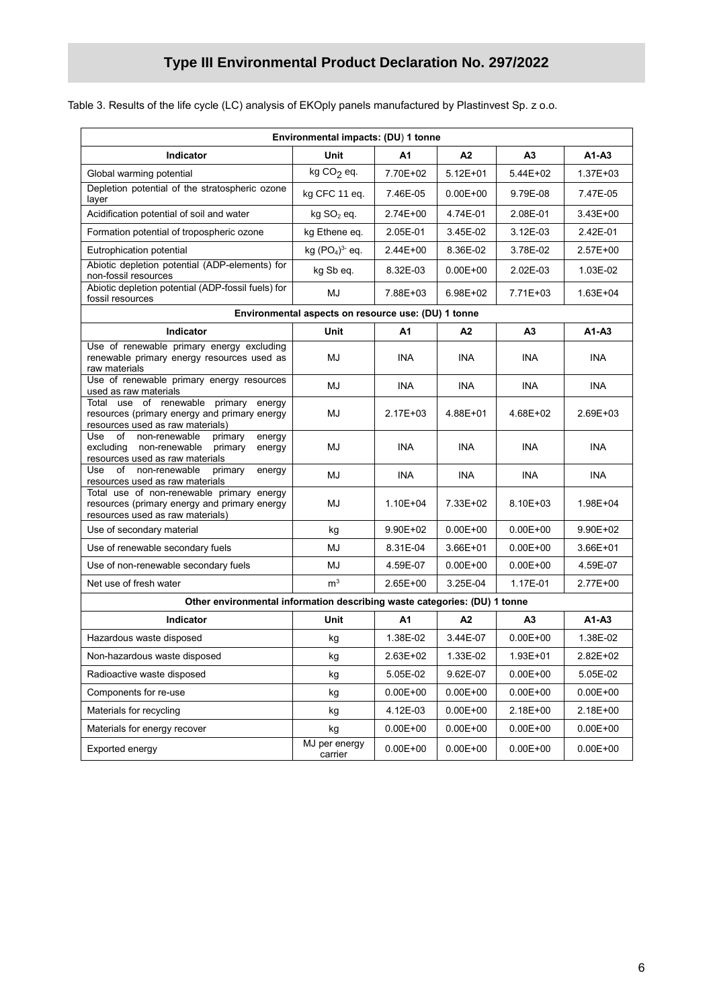# **Type III Environmental Product Declaration No. 297/2022**

|  |  | .o.o. Table 3. Results of the life cycle (LC) analysis of EKOply panels manufactured by Plastinvest Sp. z o.o. |  |  |
|--|--|----------------------------------------------------------------------------------------------------------------|--|--|
|--|--|----------------------------------------------------------------------------------------------------------------|--|--|

| Environmental impacts: (DU) 1 tonne                                                                                                   |                                                     |                          |                |                |              |  |  |
|---------------------------------------------------------------------------------------------------------------------------------------|-----------------------------------------------------|--------------------------|----------------|----------------|--------------|--|--|
| Indicator                                                                                                                             | Unit                                                | A1                       | A2             | A3             | $A1 - A3$    |  |  |
| Global warming potential                                                                                                              | kg $CO2$ eq.                                        | 7.70E+02                 | $5.12E + 01$   | 5.44E+02       | 1.37E+03     |  |  |
| Depletion potential of the stratospheric ozone<br>layer                                                                               | kg CFC 11 eq.                                       | 7.46E-05                 | $0.00E + 00$   | 9.79E-08       | 7.47E-05     |  |  |
| Acidification potential of soil and water                                                                                             | $kg SO2$ eq.                                        | 2.74E+00                 | 4.74E-01       | 2.08E-01       | 3.43E+00     |  |  |
| Formation potential of tropospheric ozone                                                                                             | kg Ethene eq.                                       | 2.05E-01                 | 3.45E-02       | 3.12E-03       | 2.42E-01     |  |  |
| Eutrophication potential                                                                                                              | kg $(PO4)3$ eq.                                     | 2.44E+00                 | 8.36E-02       | 3.78E-02       | $2.57E+00$   |  |  |
| Abiotic depletion potential (ADP-elements) for<br>non-fossil resources                                                                | kg Sb eq.                                           | 8.32E-03                 | $0.00E + 00$   | 2.02E-03       | 1.03E-02     |  |  |
| Abiotic depletion potential (ADP-fossil fuels) for<br>fossil resources                                                                | MJ                                                  | 7.88E+03                 | 6.98E+02       | 7.71E+03       | 1.63E+04     |  |  |
|                                                                                                                                       | Environmental aspects on resource use: (DU) 1 tonne |                          |                |                |              |  |  |
| <b>Indicator</b>                                                                                                                      | Unit                                                | Α1                       | A2             | A <sub>3</sub> | $A1 - A3$    |  |  |
| Use of renewable primary energy excluding<br>renewable primary energy resources used as<br>raw materials                              | MJ                                                  | <b>INA</b>               | <b>INA</b>     | <b>INA</b>     | <b>INA</b>   |  |  |
| Use of renewable primary energy resources<br>used as raw materials                                                                    | MJ                                                  | <b>INA</b>               | <b>INA</b>     | <b>INA</b>     | <b>INA</b>   |  |  |
| Total use of renewable<br>primary energy<br>resources (primary energy and primary energy<br>resources used as raw materials)          | MJ                                                  | 2.17E+03                 | 4.88E+01       | 4.68E+02       | 2.69E+03     |  |  |
| Use<br>of<br>non-renewable<br>energy<br>primary<br>excluding<br>non-renewable<br>primary<br>energy<br>resources used as raw materials | MJ                                                  | <b>INA</b>               | INA            | <b>INA</b>     | <b>INA</b>   |  |  |
| non-renewable<br>Use<br>of<br>primary<br>energy<br>resources used as raw materials                                                    | MJ                                                  | <b>INA</b>               | INA            | INA            | <b>INA</b>   |  |  |
| Total use of non-renewable primary energy<br>resources (primary energy and primary energy<br>resources used as raw materials)         | MJ                                                  | 1.10E+04                 | 7.33E+02       | 8.10E+03       | 1.98E+04     |  |  |
| Use of secondary material                                                                                                             | kg                                                  | 9.90E+02<br>$0.00E + 00$ |                | $0.00E + 00$   | 9.90E+02     |  |  |
| Use of renewable secondary fuels                                                                                                      | MJ                                                  | 8.31E-04                 | 3.66E+01       | $0.00E + 00$   | 3.66E+01     |  |  |
| Use of non-renewable secondary fuels                                                                                                  | MJ                                                  | 4.59E-07                 | $0.00E + 00$   | $0.00E + 00$   | 4.59E-07     |  |  |
| Net use of fresh water                                                                                                                | m <sup>3</sup>                                      | $2.65E+00$               | 3.25E-04       | 1.17E-01       | 2.77E+00     |  |  |
| Other environmental information describing waste categories: (DU) 1 tonne                                                             |                                                     |                          |                |                |              |  |  |
| <b>Indicator</b>                                                                                                                      | Unit                                                | A1                       | A <sub>2</sub> | A <sub>3</sub> | $A1 - A3$    |  |  |
| Hazardous waste disposed                                                                                                              | kg                                                  | 1.38E-02                 | 3.44E-07       | $0.00E + 00$   | 1.38E-02     |  |  |
| Non-hazardous waste disposed                                                                                                          | kg                                                  | 2.63E+02                 | 1.33E-02       | 1.93E+01       | 2.82E+02     |  |  |
| Radioactive waste disposed                                                                                                            | kg                                                  | 5.05E-02                 | 9.62E-07       | $0.00E + 00$   | 5.05E-02     |  |  |
| Components for re-use                                                                                                                 | kg                                                  | $0.00E + 00$             | $0.00E + 00$   | $0.00E + 00$   | $0.00E + 00$ |  |  |
| Materials for recycling                                                                                                               | kg                                                  | 4.12E-03                 | $0.00E + 00$   | 2.18E+00       | 2.18E+00     |  |  |
| Materials for energy recover                                                                                                          | kg                                                  | $0.00E + 00$             | $0.00E + 00$   | $0.00E + 00$   | $0.00E + 00$ |  |  |
| Exported energy                                                                                                                       | MJ per energy<br>carrier                            | $0.00E + 00$             | $0.00E + 00$   | $0.00E + 00$   | $0.00E + 00$ |  |  |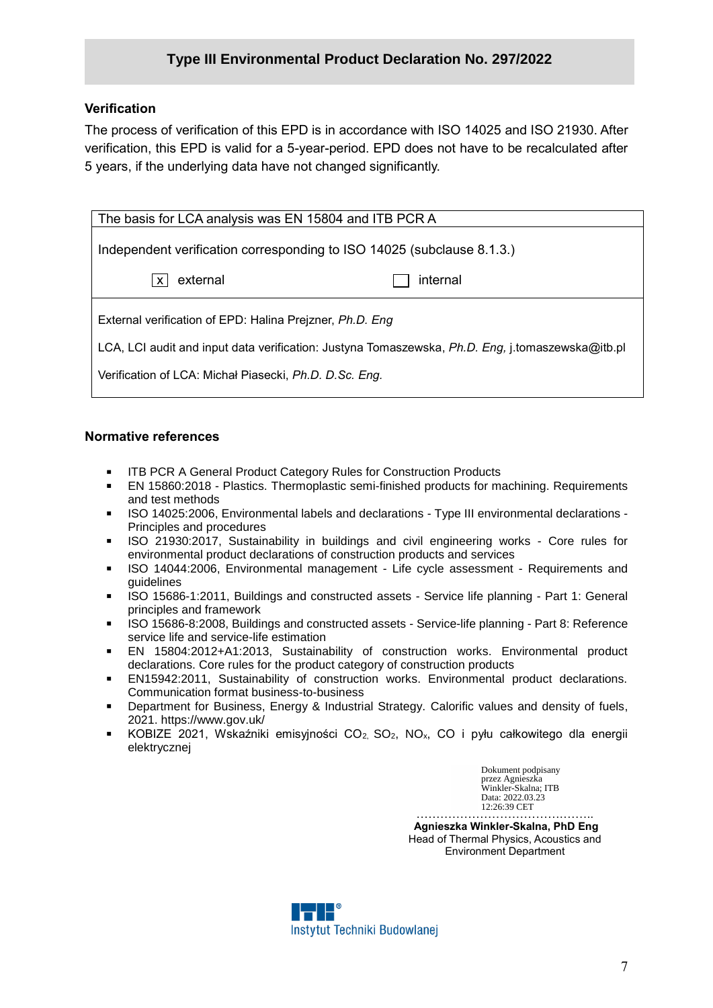# **Type III Environmental Product Declaration No. 297/2022**

#### **Verification**

The process of verification of this EPD is in accordance with ISO 14025 and ISO 21930. After verification, this EPD is valid for a 5-year-period. EPD does not have to be recalculated after 5 years, if the underlying data have not changed significantly.

| The basis for LCA analysis was EN 15804 and ITB PCR A                                                                                                                                                                  |          |  |  |  |  |  |
|------------------------------------------------------------------------------------------------------------------------------------------------------------------------------------------------------------------------|----------|--|--|--|--|--|
| Independent verification corresponding to ISO 14025 (subclause 8.1.3.)                                                                                                                                                 |          |  |  |  |  |  |
|                                                                                                                                                                                                                        |          |  |  |  |  |  |
| external<br>X                                                                                                                                                                                                          | internal |  |  |  |  |  |
| External verification of EPD: Halina Prejzner, Ph.D. Eng<br>LCA, LCI audit and input data verification: Justyna Tomaszewska, Ph.D. Eng, j.tomaszewska@itb.pl<br>Verification of LCA: Michał Piasecki, Ph.D. D.Sc. Eng. |          |  |  |  |  |  |
|                                                                                                                                                                                                                        |          |  |  |  |  |  |

#### **Normative references**

- **IFB PCR A General Product Category Rules for Construction Products**
- EN 15860:2018 Plastics. Thermoplastic semi-finished products for machining. Requirements and test methods
- **ISO 14025:2006, Environmental labels and declarations Type III environmental declarations -**Principles and procedures
- **ISO 21930:2017, Sustainability in buildings and civil engineering works Core rules for** environmental product declarations of construction products and services
- **ISO 14044:2006, Environmental management Life cycle assessment Requirements and** guidelines
- ISO 15686-1:2011, Buildings and constructed assets Service life planning Part 1: General principles and framework
- ISO 15686-8:2008, Buildings and constructed assets Service-life planning Part 8: Reference service life and service-life estimation
- EN 15804:2012+A1:2013, Sustainability of construction works. Environmental product declarations. Core rules for the product category of construction products
- EN15942:2011, Sustainability of construction works. Environmental product declarations. Communication format business-to-business
- Department for Business, Energy & Industrial Strategy. Calorific values and density of fuels, 2021. https://www.gov.uk/
- KOBIZE 2021, Wskaźniki emisyjności  $CO<sub>2</sub>$ ,  $SO<sub>2</sub>$ , NO<sub>x</sub>, CO i pyłu całkowitego dla energii elektrycznej

Dokument podpisany przez Agnieszka Winkler-Skalna; ITB Data: 2022.03.23 12:26:39 CET

……………………………….…….. **Agnieszka Winkler-Skalna, PhD Eng** Head of Thermal Physics, Acoustics and Environment Department